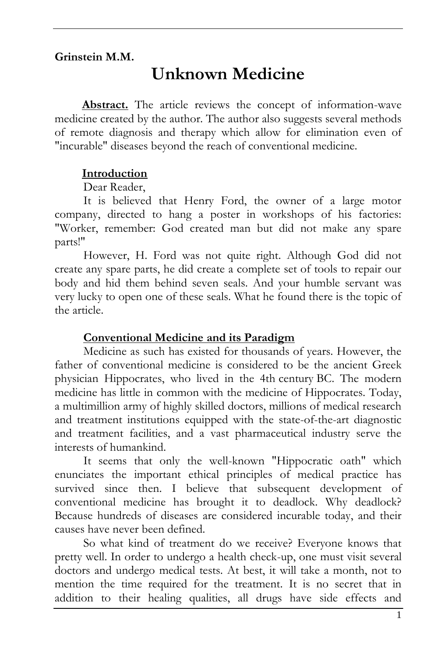## **Grinstein M.M.**

# **Unknown Medicine**

**Abstract.** The article reviews the concept of information-wave medicine created by the author. The author also suggests several methods of remote diagnosis and therapy which allow for elimination even of "incurable" diseases beyond the reach of conventional medicine.

#### **Introduction**

#### Dear Reader,

It is believed that Henry Ford, the owner of a large motor company, directed to hang a poster in workshops of his factories: "Worker, remember: God created man but did not make any spare parts!"

However, H. Ford was not quite right. Although God did not create any spare parts, he did create a complete set of tools to repair our body and hid them behind seven seals. And your humble servant was very lucky to open one of these seals. What he found there is the topic of the article.

#### **Conventional Medicine and its Paradigm**

Medicine as such has existed for thousands of years. However, the father of conventional medicine is considered to be the ancient Greek physician Hippocrates, who lived in the 4th century BC. The modern medicine has little in common with the medicine of Hippocrates. Today, a multimillion army of highly skilled doctors, millions of medical research and treatment institutions equipped with the state-of-the-art diagnostic and treatment facilities, and a vast pharmaceutical industry serve the interests of humankind.

It seems that only the well-known "Hippocratic oath" which enunciates the important ethical principles of medical practice has survived since then. I believe that subsequent development of conventional medicine has brought it to deadlock. Why deadlock? Because hundreds of diseases are considered incurable today, and their causes have never been defined.

So what kind of treatment do we receive? Everyone knows that pretty well. In order to undergo a health check-up, one must visit several doctors and undergo medical tests. At best, it will take a month, not to mention the time required for the treatment. It is no secret that in addition to their healing qualities, all drugs have side effects and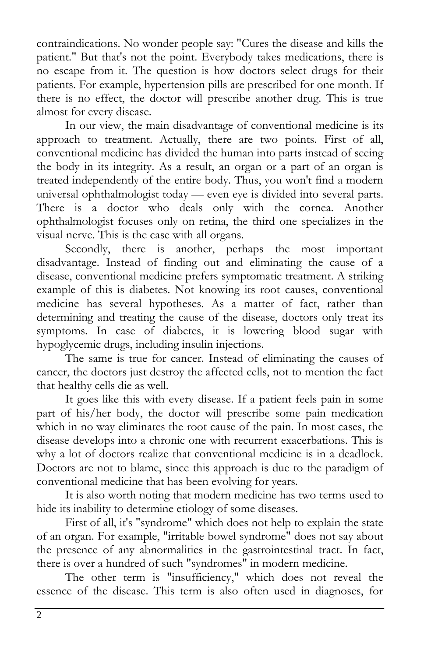contraindications. No wonder people say: "Cures the disease and kills the patient." But that's not the point. Everybody takes medications, there is no escape from it. The question is how doctors select drugs for their patients. For example, hypertension pills are prescribed for one month. If there is no effect, the doctor will prescribe another drug. This is true almost for every disease.

In our view, the main disadvantage of conventional medicine is its approach to treatment. Actually, there are two points. First of all, conventional medicine has divided the human into parts instead of seeing the body in its integrity. As a result, an organ or a part of an organ is treated independently of the entire body. Thus, you won't find a modern universal ophthalmologist today — even eye is divided into several parts. There is a doctor who deals only with the cornea. Another ophthalmologist focuses only on retina, the third one specializes in the visual nerve. This is the case with all organs.

Secondly, there is another, perhaps the most important disadvantage. Instead of finding out and eliminating the cause of a disease, conventional medicine prefers symptomatic treatment. A striking example of this is diabetes. Not knowing its root causes, conventional medicine has several hypotheses. As a matter of fact, rather than determining and treating the cause of the disease, doctors only treat its symptoms. In case of diabetes, it is lowering blood sugar with hypoglycemic drugs, including insulin injections.

The same is true for cancer. Instead of eliminating the causes of cancer, the doctors just destroy the affected cells, not to mention the fact that healthy cells die as well.

It goes like this with every disease. If a patient feels pain in some part of his/her body, the doctor will prescribe some pain medication which in no way eliminates the root cause of the pain. In most cases, the disease develops into a chronic one with recurrent exacerbations. This is why a lot of doctors realize that conventional medicine is in a deadlock. Doctors are not to blame, since this approach is due to the paradigm of conventional medicine that has been evolving for years.

It is also worth noting that modern medicine has two terms used to hide its inability to determine etiology of some diseases.

First of all, it's "syndrome" which does not help to explain the state of an organ. For example, "irritable bowel syndrome" does not say about the presence of any abnormalities in the gastrointestinal tract. In fact, there is over a hundred of such "syndromes" in modern medicine.

The other term is "insufficiency," which does not reveal the essence of the disease. This term is also often used in diagnoses, for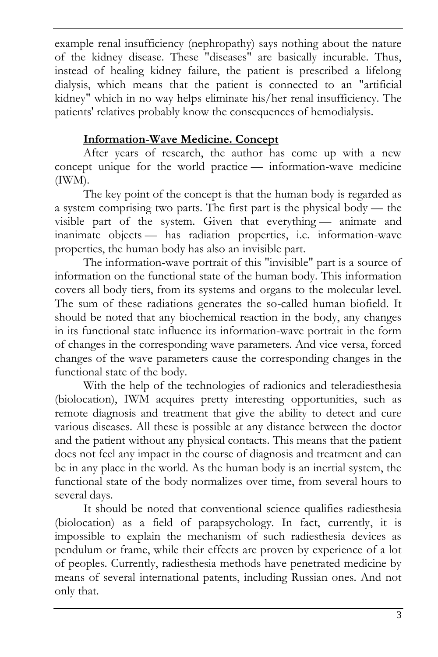example renal insufficiency (nephropathy) says nothing about the nature of the kidney disease. These "diseases" are basically incurable. Thus, instead of healing kidney failure, the patient is prescribed a lifelong dialysis, which means that the patient is connected to an "artificial kidney" which in no way helps eliminate his/her renal insufficiency. The patients' relatives probably know the consequences of hemodialysis.

# **Information-Wave Medicine. Concept**

After years of research, the author has come up with a new concept unique for the world practice — information-wave medicine (IWM).

The key point of the concept is that the human body is regarded as a system comprising two parts. The first part is the physical body — the visible part of the system. Given that everything — animate and inanimate objects — has radiation properties, i.e. information-wave properties, the human body has also an invisible part.

The information-wave portrait of this "invisible" part is a source of information on the functional state of the human body. This information covers all body tiers, from its systems and organs to the molecular level. The sum of these radiations generates the so-called human biofield. It should be noted that any biochemical reaction in the body, any changes in its functional state influence its information-wave portrait in the form of changes in the corresponding wave parameters. And vice versa, forced changes of the wave parameters cause the corresponding changes in the functional state of the body.

With the help of the technologies of radionics and teleradiesthesia (biolocation), IWM acquires pretty interesting opportunities, such as remote diagnosis and treatment that give the ability to detect and cure various diseases. All these is possible at any distance between the doctor and the patient without any physical contacts. This means that the patient does not feel any impact in the course of diagnosis and treatment and can be in any place in the world. As the human body is an inertial system, the functional state of the body normalizes over time, from several hours to several days.

It should be noted that conventional science qualifies radiesthesia (biolocation) as a field of parapsychology. In fact, currently, it is impossible to explain the mechanism of such radiesthesia devices as pendulum or frame, while their effects are proven by experience of a lot of peoples. Currently, radiesthesia methods have penetrated medicine by means of several international patents, including Russian ones. And not only that.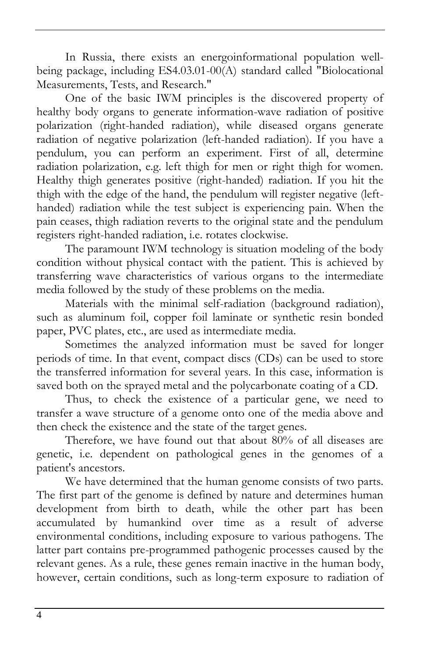In Russia, there exists an energoinformational population wellbeing package, including ES4.03.01-00(A) standard called "Biolocational Measurements, Tests, and Research."

One of the basic IWM principles is the discovered property of healthy body organs to generate information-wave radiation of positive polarization (right-handed radiation), while diseased organs generate radiation of negative polarization (left-handed radiation). If you have a pendulum, you can perform an experiment. First of all, determine radiation polarization, e.g. left thigh for men or right thigh for women. Healthy thigh generates positive (right-handed) radiation. If you hit the thigh with the edge of the hand, the pendulum will register negative (lefthanded) radiation while the test subject is experiencing pain. When the pain ceases, thigh radiation reverts to the original state and the pendulum registers right-handed radiation, i.e. rotates clockwise.

The paramount IWM technology is situation modeling of the body condition without physical contact with the patient. This is achieved by transferring wave characteristics of various organs to the intermediate media followed by the study of these problems on the media.

Materials with the minimal self-radiation (background radiation), such as aluminum foil, copper foil laminate or synthetic resin bonded paper, PVC plates, etc., are used as intermediate media.

Sometimes the analyzed information must be saved for longer periods of time. In that event, compact discs (CDs) can be used to store the transferred information for several years. In this case, information is saved both on the sprayed metal and the polycarbonate coating of a CD.

Thus, to check the existence of a particular gene, we need to transfer a wave structure of a genome onto one of the media above and then check the existence and the state of the target genes.

Therefore, we have found out that about 80% of all diseases are genetic, i.e. dependent on pathological genes in the genomes of a patient's ancestors.

We have determined that the human genome consists of two parts. The first part of the genome is defined by nature and determines human development from birth to death, while the other part has been accumulated by humankind over time as a result of adverse environmental conditions, including exposure to various pathogens. The latter part contains pre-programmed pathogenic processes caused by the relevant genes. As a rule, these genes remain inactive in the human body, however, certain conditions, such as long-term exposure to radiation of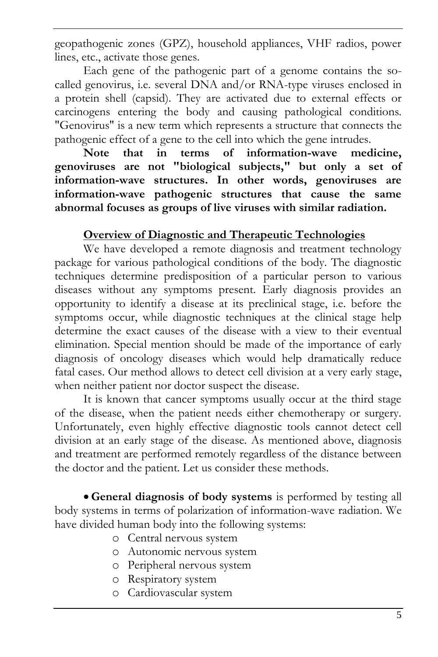geopathogenic zones (GPZ), household appliances, VHF radios, power lines, etc., activate those genes.

Each gene of the pathogenic part of a genome contains the socalled genovirus, i.e. several DNA and/or RNA-type viruses enclosed in a protein shell (capsid). They are activated due to external effects or carcinogens entering the body and causing pathological conditions. "Genovirus" is a new term which represents a structure that connects the pathogenic effect of a gene to the cell into which the gene intrudes.

**Note that in terms of information-wave medicine, genoviruses are not "biological subjects," but only a set of information-wave structures. In other words, genoviruses are information-wave pathogenic structures that cause the same abnormal focuses as groups of live viruses with similar radiation.**

# **Overview of Diagnostic and Therapeutic Technologies**

We have developed a remote diagnosis and treatment technology package for various pathological conditions of the body. The diagnostic techniques determine predisposition of a particular person to various diseases without any symptoms present. Early diagnosis provides an opportunity to identify a disease at its preclinical stage, i.e. before the symptoms occur, while diagnostic techniques at the clinical stage help determine the exact causes of the disease with a view to their eventual elimination. Special mention should be made of the importance of early diagnosis of oncology diseases which would help dramatically reduce fatal cases. Our method allows to detect cell division at a very early stage, when neither patient nor doctor suspect the disease.

It is known that cancer symptoms usually occur at the third stage of the disease, when the patient needs either chemotherapy or surgery. Unfortunately, even highly effective diagnostic tools cannot detect cell division at an early stage of the disease. As mentioned above, diagnosis and treatment are performed remotely regardless of the distance between the doctor and the patient. Let us consider these methods.

 **General diagnosis of body systems** is performed by testing all body systems in terms of polarization of information-wave radiation. We have divided human body into the following systems:

- o Central nervous system
- o Autonomic nervous system
- o Peripheral nervous system
- o Respiratory system
- o Cardiovascular system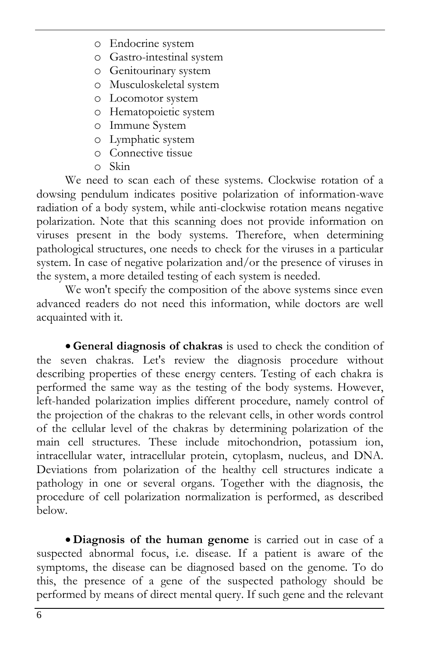- o Endocrine system
- o Gastro-intestinal system
- o Genitourinary system
- o Musculoskeletal system
- o Locomotor system
- o Hematopoietic system
- o Immune System
- o Lymphatic system
- o Connective tissue
- o Skin

We need to scan each of these systems. Clockwise rotation of a dowsing pendulum indicates positive polarization of information-wave radiation of a body system, while anti-clockwise rotation means negative polarization. Note that this scanning does not provide information on viruses present in the body systems. Therefore, when determining pathological structures, one needs to check for the viruses in a particular system. In case of negative polarization and/or the presence of viruses in the system, a more detailed testing of each system is needed.

We won't specify the composition of the above systems since even advanced readers do not need this information, while doctors are well acquainted with it.

 **General diagnosis of chakras** is used to check the condition of the seven chakras. Let's review the diagnosis procedure without describing properties of these energy centers. Testing of each chakra is performed the same way as the testing of the body systems. However, left-handed polarization implies different procedure, namely control of the projection of the chakras to the relevant cells, in other words control of the cellular level of the chakras by determining polarization of the main cell structures. These include mitochondrion, potassium ion, intracellular water, intracellular protein, cytoplasm, nucleus, and DNA. Deviations from polarization of the healthy cell structures indicate a pathology in one or several organs. Together with the diagnosis, the procedure of cell polarization normalization is performed, as described below.

 **Diagnosis of the human genome** is carried out in case of a suspected abnormal focus, i.e. disease. If a patient is aware of the symptoms, the disease can be diagnosed based on the genome. To do this, the presence of a gene of the suspected pathology should be performed by means of direct mental query. If such gene and the relevant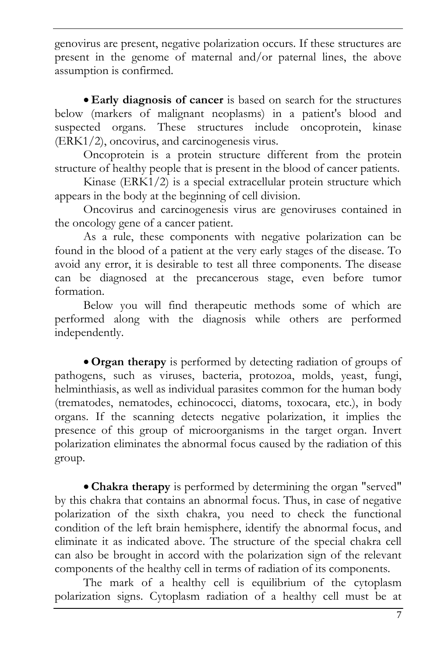genovirus are present, negative polarization occurs. If these structures are present in the genome of maternal and/or paternal lines, the above assumption is confirmed.

 **Early diagnosis of cancer** is based on search for the structures below (markers of malignant neoplasms) in a patient's blood and suspected organs. These structures include oncoprotein, kinase (ERK1/2), oncovirus, and carcinogenesis virus.

Oncoprotein is a protein structure different from the protein structure of healthy people that is present in the blood of cancer patients.

Kinase (ERK1/2) is a special extracellular protein structure which appears in the body at the beginning of cell division.

Oncovirus and carcinogenesis virus are genoviruses contained in the oncology gene of a cancer patient.

As a rule, these components with negative polarization can be found in the blood of a patient at the very early stages of the disease. To avoid any error, it is desirable to test all three components. The disease can be diagnosed at the precancerous stage, even before tumor formation.

Below you will find therapeutic methods some of which are performed along with the diagnosis while others are performed independently.

 **Organ therapy** is performed by detecting radiation of groups of pathogens, such as viruses, bacteria, protozoa, molds, yeast, fungi, helminthiasis, as well as individual parasites common for the human body (trematodes, nematodes, echinococci, diatoms, toxocara, etc.), in body organs. If the scanning detects negative polarization, it implies the presence of this group of microorganisms in the target organ. Invert polarization eliminates the abnormal focus caused by the radiation of this group.

 **Chakra therapy** is performed by determining the organ "served" by this chakra that contains an abnormal focus. Thus, in case of negative polarization of the sixth chakra, you need to check the functional condition of the left brain hemisphere, identify the abnormal focus, and eliminate it as indicated above. The structure of the special chakra cell can also be brought in accord with the polarization sign of the relevant components of the healthy cell in terms of radiation of its components.

The mark of a healthy cell is equilibrium of the cytoplasm polarization signs. Cytoplasm radiation of a healthy cell must be at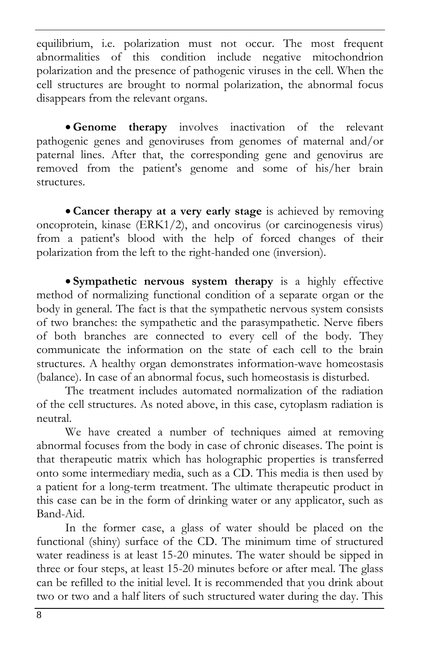equilibrium, i.e. polarization must not occur. The most frequent abnormalities of this condition include negative mitochondrion polarization and the presence of pathogenic viruses in the cell. When the cell structures are brought to normal polarization, the abnormal focus disappears from the relevant organs.

 **Genome therapy** involves inactivation of the relevant pathogenic genes and genoviruses from genomes of maternal and/or paternal lines. After that, the corresponding gene and genovirus are removed from the patient's genome and some of his/her brain structures.

 **Cancer therapy at a very early stage** is achieved by removing oncoprotein, kinase (ERK1/2), and oncovirus (or carcinogenesis virus) from a patient's blood with the help of forced changes of their polarization from the left to the right-handed one (inversion).

 **Sympathetic nervous system therapy** is a highly effective method of normalizing functional condition of a separate organ or the body in general. The fact is that the sympathetic nervous system consists of two branches: the sympathetic and the parasympathetic. Nerve fibers of both branches are connected to every cell of the body. They communicate the information on the state of each cell to the brain structures. A healthy organ demonstrates information-wave homeostasis (balance). In case of an abnormal focus, such homeostasis is disturbed.

The treatment includes automated normalization of the radiation of the cell structures. As noted above, in this case, cytoplasm radiation is neutral.

We have created a number of techniques aimed at removing abnormal focuses from the body in case of chronic diseases. The point is that therapeutic matrix which has holographic properties is transferred onto some intermediary media, such as a CD. This media is then used by a patient for a long-term treatment. The ultimate therapeutic product in this case can be in the form of drinking water or any applicator, such as Band-Aid.

In the former case, a glass of water should be placed on the functional (shiny) surface of the CD. The minimum time of structured water readiness is at least 15-20 minutes. The water should be sipped in three or four steps, at least 15-20 minutes before or after meal. The glass can be refilled to the initial level. It is recommended that you drink about two or two and a half liters of such structured water during the day. This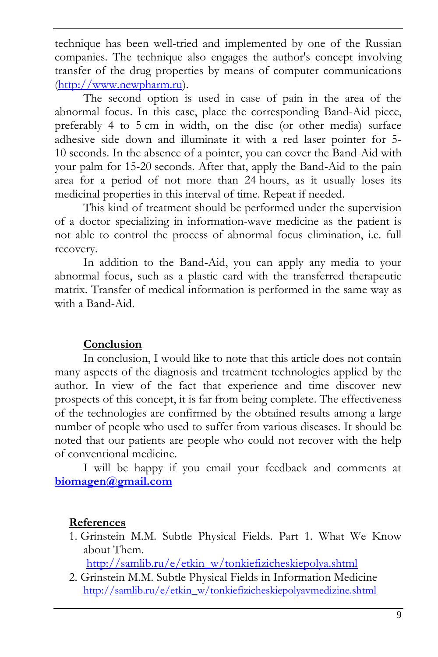technique has been well-tried and implemented by one of the Russian companies. The technique also engages the author's concept involving transfer of the drug properties by means of computer communications [\(http://www.newpharm.ru\)](http://www.newpharm.ru/).

The second option is used in case of pain in the area of the abnormal focus. In this case, place the corresponding Band-Aid piece, preferably 4 to 5 cm in width, on the disc (or other media) surface adhesive side down and illuminate it with a red laser pointer for 5- 10 seconds. In the absence of a pointer, you can cover the Band-Aid with your palm for 15-20 seconds. After that, apply the Band-Aid to the pain area for a period of not more than 24 hours, as it usually loses its medicinal properties in this interval of time. Repeat if needed.

This kind of treatment should be performed under the supervision of a doctor specializing in information-wave medicine as the patient is not able to control the process of abnormal focus elimination, i.e. full recovery.

In addition to the Band-Aid, you can apply any media to your abnormal focus, such as a plastic card with the transferred therapeutic matrix. Transfer of medical information is performed in the same way as with a Band-Aid.

## **Conclusion**

In conclusion, I would like to note that this article does not contain many aspects of the diagnosis and treatment technologies applied by the author. In view of the fact that experience and time discover new prospects of this concept, it is far from being complete. The effectiveness of the technologies are confirmed by the obtained results among a large number of people who used to suffer from various diseases. It should be noted that our patients are people who could not recover with the help of conventional medicine.

I will be happy if you email your feedback and comments at **[biomagen@gmail.com](mailto:biomagen@gmail.com)**

## **References**

1. Grinstein M.M. Subtle Physical Fields. Part 1. What We Know about Them.

[http://samlib.ru/e/etkin\\_w/tonkiefizicheskiepolya.shtml](http://samlib.ru/e/etkin_w/tonkiefizicheskiepolya.shtml)

2. Grinstein M.M. Subtle Physical Fields in Information Medicine [http://samlib.ru/e/etkin\\_w/tonkiefizicheskiepolyavmedizine.shtml](http://samlib.ru/e/etkin_w/tonkiefizicheskiepolyavmedizine.shtml)